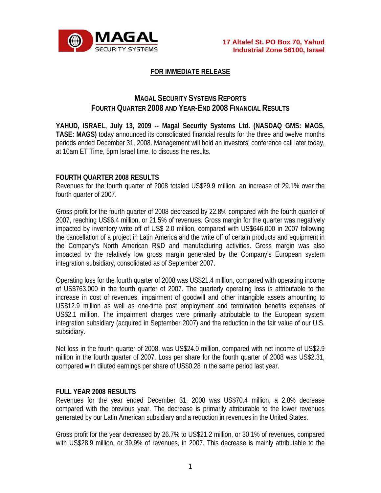

# **FOR IMMEDIATE RELEASE**

# **MAGAL SECURITY SYSTEMS REPORTS FOURTH QUARTER 2008 AND YEAR-END 2008 FINANCIAL RESULTS**

**YAHUD, ISRAEL, July 13, 2009 -- Magal Security Systems Ltd. (NASDAQ GMS: MAGS, TASE: MAGS)** today announced its consolidated financial results for the three and twelve months periods ended December 31, 2008. Management will hold an investors' conference call later today, at 10am ET Time, 5pm Israel time, to discuss the results.

# **FOURTH QUARTER 2008 RESULTS**

Revenues for the fourth quarter of 2008 totaled US\$29.9 million, an increase of 29.1% over the fourth quarter of 2007.

Gross profit for the fourth quarter of 2008 decreased by 22.8% compared with the fourth quarter of 2007, reaching US\$6.4 million, or 21.5% of revenues. Gross margin for the quarter was negatively impacted by inventory write off of US\$ 2.0 million, compared with US\$646,000 in 2007 following the cancellation of a project in Latin America and the write off of certain products and equipment in the Company's North American R&D and manufacturing activities. Gross margin was also impacted by the relatively low gross margin generated by the Company's European system integration subsidiary, consolidated as of September 2007.

Operating loss for the fourth quarter of 2008 was US\$21.4 million, compared with operating income of US\$763,000 in the fourth quarter of 2007. The quarterly operating loss is attributable to the increase in cost of revenues, impairment of goodwill and other intangible assets amounting to US\$12.9 million as well as one-time post employment and termination benefits expenses of US\$2.1 million. The impairment charges were primarily attributable to the European system integration subsidiary (acquired in September 2007) and the reduction in the fair value of our U.S. subsidiary.

Net loss in the fourth quarter of 2008, was US\$24.0 million, compared with net income of US\$2.9 million in the fourth quarter of 2007. Loss per share for the fourth quarter of 2008 was US\$2.31, compared with diluted earnings per share of US\$0.28 in the same period last year.

# **FULL YEAR 2008 RESULTS**

Revenues for the year ended December 31, 2008 was US\$70.4 million, a 2.8% decrease compared with the previous year. The decrease is primarily attributable to the lower revenues generated by our Latin American subsidiary and a reduction in revenues in the United States.

Gross profit for the year decreased by 26.7% to US\$21.2 million, or 30.1% of revenues, compared with US\$28.9 million, or 39.9% of revenues, in 2007. This decrease is mainly attributable to the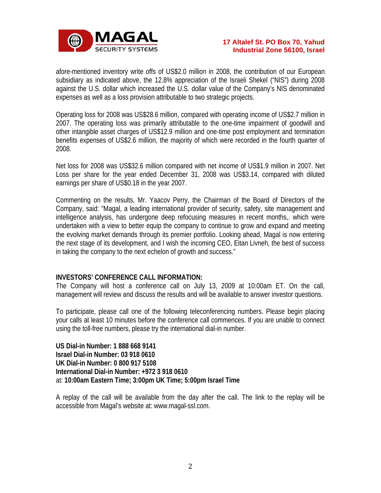

afore-mentioned inventory write offs of US\$2.0 million in 2008, the contribution of our European subsidiary as indicated above, the 12.8% appreciation of the Israeli Shekel ("NIS") during 2008 against the U.S. dollar which increased the U.S. dollar value of the Company's NIS denominated expenses as well as a loss provision attributable to two strategic projects.

Operating loss for 2008 was US\$28.6 million, compared with operating income of US\$2.7 million in 2007. The operating loss was primarily attributable to the one-time impairment of goodwill and other intangible asset charges of US\$12.9 million and one-time post employment and termination benefits expenses of US\$2.6 million, the majority of which were recorded in the fourth quarter of 2008.

Net loss for 2008 was US\$32.6 million compared with net income of US\$1.9 million in 2007. Net Loss per share for the year ended December 31, 2008 was US\$3.14, compared with diluted earnings per share of US\$0.18 in the year 2007.

Commenting on the results, Mr. Yaacov Perry, the Chairman of the Board of Directors of the Company, said: "Magal, a leading international provider of security, safety, site management and intelligence analysis, has undergone deep refocusing measures in recent months,. which were undertaken with a view to better equip the company to continue to grow and expand and meeting the evolving market demands through its premier portfolio. Looking ahead, Magal is now entering the next stage of its development, and I wish the incoming CEO, Eitan Livneh, the best of success in taking the company to the next echelon of growth and success."

# **INVESTORS' CONFERENCE CALL INFORMATION:**

The Company will host a conference call on July 13, 2009 at 10:00am ET. On the call, management will review and discuss the results and will be available to answer investor questions.

To participate, please call one of the following teleconferencing numbers. Please begin placing your calls at least 10 minutes before the conference call commences. If you are unable to connect using the toll-free numbers, please try the international dial-in number.

**US Dial-in Number: 1 888 668 9141 Israel Dial-in Number: 03 918 0610 UK Dial-in Number: 0 800 917 5108 International Dial-in Number: +972 3 918 0610** at: **10:00am Eastern Time; 3:00pm UK Time; 5:00pm Israel Time**

A replay of the call will be available from the day after the call. The link to the replay will be accessible from Magal's website at: www.magal-ssl.com.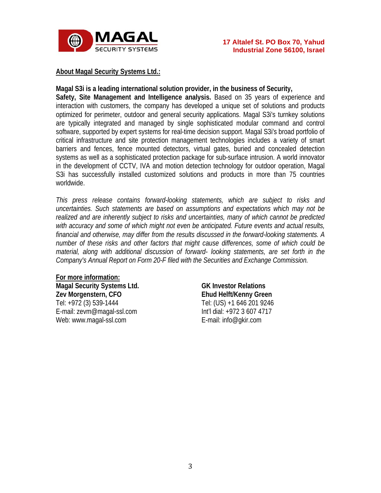

# **About Magal Security Systems Ltd.:**

#### **Magal S3i is a leading international solution provider, in the business of Security,**

**Safety, Site Management and Intelligence analysis.** Based on 35 years of experience and interaction with customers, the company has developed a unique set of solutions and products optimized for perimeter, outdoor and general security applications. Magal S3i's turnkey solutions are typically integrated and managed by single sophisticated modular command and control software, supported by expert systems for real-time decision support. Magal S3i's broad portfolio of critical infrastructure and site protection management technologies includes a variety of smart barriers and fences, fence mounted detectors, virtual gates, buried and concealed detection systems as well as a sophisticated protection package for sub-surface intrusion. A world innovator in the development of CCTV, IVA and motion detection technology for outdoor operation, Magal S3i has successfully installed customized solutions and products in more than 75 countries worldwide.

*This press release contains forward-looking statements, which are subject to risks and uncertainties. Such statements are based on assumptions and expectations which may not be realized and are inherently subject to risks and uncertainties, many of which cannot be predicted with accuracy and some of which might not even be anticipated. Future events and actual results, financial and otherwise, may differ from the results discussed in the forward-looking statements. A number of these risks and other factors that might cause differences, some of which could be material, along with additional discussion of forward- looking statements, are set forth in the Company's Annual Report on Form 20-F filed with the Securities and Exchange Commission.* 

**For more information: Magal Security Systems Ltd. Zev Morgenstern, CFO**  Tel: +972 (3) 539-1444 E-mail: zevm@magal-ssl.com Web: www.magal-ssl.com

**GK Investor Relations Ehud Helft/Kenny Green** Tel: (US) +1 646 201 9246 Int'l dial: +972 3 607 4717 E-mail: info@gkir.com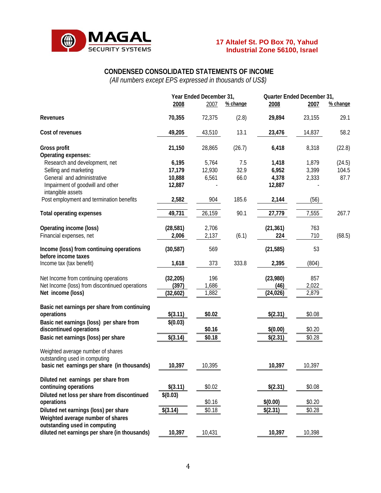

# **CONDENSED CONSOLIDATED STATEMENTS OF INCOME**

*(All numbers except EPS expressed in thousands of US\$)* 

|                                                                     |           | Year Ended December 31, |          | Quarter Ended December 31, |        |          |
|---------------------------------------------------------------------|-----------|-------------------------|----------|----------------------------|--------|----------|
|                                                                     | 2008      | 2007                    | % change | 2008                       | 2007   | % change |
| Revenues                                                            | 70,355    | 72,375                  | (2.8)    | 29,894                     | 23,155 | 29.1     |
| Cost of revenues                                                    | 49,205    | 43,510                  | 13.1     | 23,476                     | 14,837 | 58.2     |
| <b>Gross profit</b>                                                 | 21,150    | 28,865                  | (26.7)   | 6,418                      | 8,318  | (22.8)   |
| Operating expenses:                                                 |           |                         |          |                            |        |          |
| Research and development, net                                       | 6,195     | 5,764                   | 7.5      | 1,418                      | 1,879  | (24.5)   |
| Selling and marketing                                               | 17,179    | 12,930                  | 32.9     | 6,952                      | 3,399  | 104.5    |
| General and administrative                                          | 10,888    | 6,561                   | 66.0     | 4,378                      | 2,333  | 87.7     |
| Impairment of goodwill and other<br>intangible assets               | 12,887    |                         |          | 12,887                     |        |          |
| Post employment and termination benefits                            | 2,582     | 904                     | 185.6    | 2,144                      | (56)   |          |
| <b>Total operating expenses</b>                                     | 49,731    | 26,159                  | 90.1     | 27,779                     | 7,555  | 267.7    |
| Operating income (loss)                                             | (28, 581) | 2,706                   |          | (21, 361)                  | 763    |          |
| Financial expenses, net                                             | 2,006     | 2,137                   | (6.1)    | 224                        | 710    | (68.5)   |
| Income (loss) from continuing operations                            | (30, 587) | 569                     |          | (21, 585)                  | 53     |          |
| before income taxes                                                 |           |                         |          |                            |        |          |
| Income tax (tax benefit)                                            | 1,618     | 373                     | 333.8    | 2,395                      | (804)  |          |
| Net Income from continuing operations                               | (32, 205) | 196                     |          | (23,980)                   | 857    |          |
| Net Income (loss) from discontinued operations                      | (397)     | 1,686                   |          | (46)                       | 2,022  |          |
| Net income (loss)                                                   | (32,602)  | 1,882                   |          | (24, 026)                  | 2,879  |          |
|                                                                     |           |                         |          |                            |        |          |
| Basic net earnings per share from continuing                        |           |                         |          |                            |        |          |
| operations                                                          | \$(3.11)  | \$0.02                  |          | \$(2.31)                   | \$0.08 |          |
| Basic net earnings (loss) per share from<br>discontinued operations | \$(0.03)  | \$0.16                  |          | \$(0.00)                   | \$0.20 |          |
|                                                                     |           | \$0.18                  |          |                            |        |          |
| Basic net earnings (loss) per share                                 | \$(3.14)  |                         |          | \$(2.31)                   | \$0.28 |          |
| Weighted average number of shares<br>outstanding used in computing  |           |                         |          |                            |        |          |
| basic net earnings per share (in thousands)                         | 10,397    | 10,395                  |          | 10,397                     | 10,397 |          |
| Diluted net earnings per share from                                 |           |                         |          |                            |        |          |
| continuing operations                                               | \$(3.11)  | \$0.02                  |          | \$(2.31)                   | \$0.08 |          |
| Diluted net loss per share from discontinued                        | \$(0.03)  |                         |          |                            |        |          |
| operations                                                          |           | \$0.16                  |          | \$(0.00)                   | \$0.20 |          |
| Diluted net earnings (loss) per share                               | \$(3.14)  | \$0.18                  |          | \$(2.31)                   | \$0.28 |          |
| Weighted average number of shares<br>outstanding used in computing  |           |                         |          |                            |        |          |
| diluted net earnings per share (in thousands)                       | 10,397    | 10,431                  |          | 10,397                     | 10,398 |          |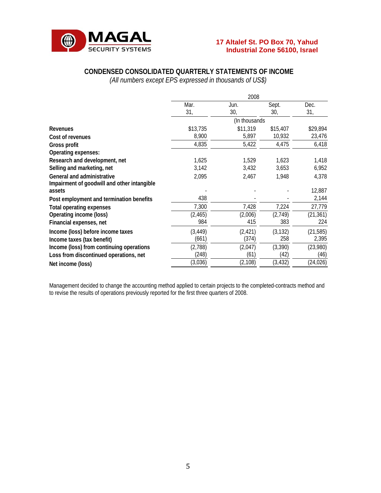

# **CONDENSED CONSOLIDATED QUARTERLY STATEMENTS OF INCOME**

*(All numbers except EPS expressed in thousands of US\$)* 

|                                                       | 2008          |             |              |             |  |  |
|-------------------------------------------------------|---------------|-------------|--------------|-------------|--|--|
|                                                       | Mar.<br>31,   | Jun.<br>30, | Sept.<br>30, | Dec.<br>31, |  |  |
|                                                       | (In thousands |             |              |             |  |  |
| <b>Revenues</b>                                       | \$13,735      | \$11,319    | \$15,407     | \$29,894    |  |  |
| Cost of revenues                                      | 8,900         | 5,897       | 10,932       | 23,476      |  |  |
| Gross profit                                          | 4,835         | 5,422       | 4,475        | 6,418       |  |  |
| Operating expenses:                                   |               |             |              |             |  |  |
| Research and development, net                         | 1,625         | 1,529       | 1,623        | 1,418       |  |  |
| Selling and marketing, net                            | 3,142         | 3,432       | 3,653        | 6,952       |  |  |
| <b>General and administrative</b>                     | 2,095         | 2,467       | 1,948        | 4,378       |  |  |
| Impairment of goodwill and other intangible<br>assets |               |             |              | 12,887      |  |  |
| Post employment and termination benefits              | 438           |             |              | 2,144       |  |  |
| <b>Total operating expenses</b>                       | 7,300         | 7,428       | 7,224        | 27,779      |  |  |
| Operating income (loss)                               | (2, 465)      | (2,006)     | (2,749)      | (21, 361)   |  |  |
| Financial expenses, net                               | 984           | 415         | 383          | 224         |  |  |
| Income (loss) before income taxes                     | (3, 449)      | (2, 421)    | (3, 132)     | (21, 585)   |  |  |
| Income taxes (tax benefit)                            | (661)         | (374)       | 258          | 2,395       |  |  |
| Income (loss) from continuing operations              | (2,788)       | (2,047)     | (3,390)      | (23,980)    |  |  |
| Loss from discontinued operations, net                | (248)         | (61)        | (42)         | (46)        |  |  |
| Net income (loss)                                     | (3,036)       | (2, 108)    | (3, 432)     | (24, 026)   |  |  |

Management decided to change the accounting method applied to certain projects to the completed-contracts method and to revise the results of operations previously reported for the first three quarters of 2008.